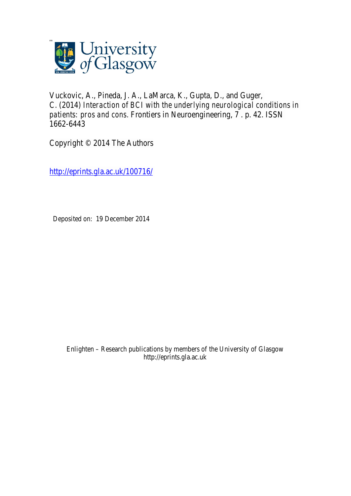

Vuckovic, A., Pineda, J. A., LaMarca, K., Gupta, D., and Guger, C. (2014) *Interaction of BCI with the underlying neurological conditions in patients: pros and cons.* Frontiers in Neuroengineering, 7 . p. 42. ISSN 1662-6443

Copyright © 2014 The Authors

http://eprints.gla.ac.uk/100716/

Deposited on: 19 December 2014

Enlighten – Research publications by members of the University of Glasgow http://eprints.gla.ac.uk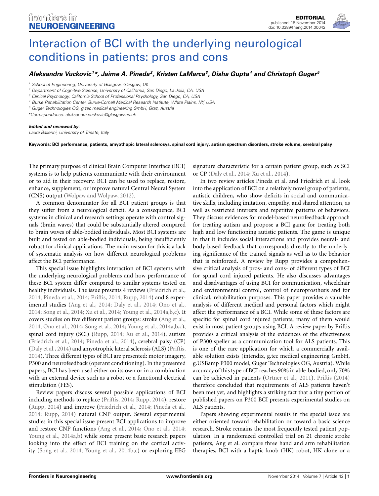

## [Interaction of BCI with the underlying neurological](http://www.frontiersin.org/journal/10.3389/fneng.2014.00042/full) conditions in patients: pros and cons

## *[Aleksandra Vuckovic](http://community.frontiersin.org/people/u/77206) <sup>1</sup> \*, [Jaime A. Pineda](http://community.frontiersin.org/people/u/84245)2, [Kristen LaMarca3](http://community.frontiersin.org/people/u/105252), [Disha Gupta](http://community.frontiersin.org/people/u/105182)4 and [Christoph Guger](http://community.frontiersin.org/people/u/1735) <sup>5</sup>*

*<sup>1</sup> School of Engineering, University of Glasgow, Glasgow, UK*

*<sup>3</sup> Clinical Psychology, California School of Professional Psychology, San Diego, CA, USA*

*<sup>4</sup> Burke Rehabilitation Center, Burke-Cornell Medical Research Institute, White Plains, NY, USA*

*<sup>5</sup> Guger Technologies OG, g.tec medical engineering GmbH, Graz, Austria*

*\*Correspondence: [aleksandra.vuckovic@glasgow.ac.uk](mailto:aleksandra.vuckovic@glasgow.ac.uk)*

## *Edited and reviewed by:*

*Laura Ballerini, University of Trieste, Italy*

**Keywords: BCI performance, patients, amyothopic lateral sclerosys, spinal cord injury, autism spectrum disorders, stroke volume, cerebral palsy**

The primary purpose of clinical Brain Computer Interface (BCI) systems is to help patients communicate with their environment or to aid in their recovery. BCI can be used to replace, restore, enhance, supplement, or improve natural Central Neural System (CNS) output [\(Wolpaw and Wolpaw](#page-2-0), [2012\)](#page-2-0).

A common denominator for all BCI patient groups is that they suffer from a neurological deficit. As a consequence, BCI systems in clinical and research settings operate with control signals (brain waves) that could be substantially altered compared to brain waves of able-bodied individuals. Most BCI systems are built and tested on able-bodied individuals, being insufficiently robust for clinical applications. The main reason for this is a lack of systematic analysis on how different neurological problems affect the BCI performance.

This special issue highlights interaction of BCI systems with the underlying neurological problems and how performance of these BCI system differ compared to similar systems tested on healthy individuals. The issue presents 4 reviews [\(Friedrich et al.,](#page-2-1) [2014](#page-2-1); [Pineda et al.](#page-2-2), [2014](#page-2-2); [Priftis](#page-2-3), [2014](#page-2-3); [Rupp, 2014\)](#page-2-4) and 8 experimental studies [\(Ang et al.](#page-2-5), [2014](#page-2-5); [Daly et al., 2014;](#page-2-6) [Ono et al.,](#page-2-7) [2014](#page-2-7); [Song et al.](#page-2-8), [2014](#page-2-8); [Xu et al., 2014;](#page-2-9) [Young et al.](#page-2-10), [2014a](#page-2-10)[,b](#page-3-0)[,c\)](#page-3-1). It covers studies on five different patient groups: stroke [\(Ang et al.,](#page-2-5) [2014](#page-2-5); [Ono et al., 2014;](#page-2-7) [Song et al.](#page-2-8), [2014](#page-2-8); [Young et al., 2014a](#page-2-10)[,b](#page-3-0)[,c](#page-3-1)), spinal cord injury (SCI) [\(Rupp](#page-2-4), [2014](#page-2-4); [Xu et al.](#page-2-9), [2014](#page-2-9)), autism [\(Friedrich et al.](#page-2-1), [2014](#page-2-1); [Pineda et al.](#page-2-2), [2014](#page-2-2)), cerebral palsy (CP) [\(Daly et al., 2014](#page-2-6)) and amyotrophic lateral sclerosis (ALS) [\(Priftis,](#page-2-3) [2014](#page-2-3)). Three different types of BCI are presented: motor imagery, P300 and neurofeedback (operant conditioning). In the presented papers, BCI has been used either on its own or in a combination with an external device such as a robot or a functional electrical stimulation (FES).

Review papers discuss several possible applications of BCI including methods to replace [\(Priftis, 2014;](#page-2-3) [Rupp, 2014\)](#page-2-4), restore [\(Rupp, 2014](#page-2-4)) and improve [\(Friedrich et al.](#page-2-1), [2014](#page-2-1); [Pineda et al.,](#page-2-2) [2014](#page-2-2); [Rupp, 2014\)](#page-2-4) natural CNP output. Several experimental studies in this special issue present BCI applications to improve and restore CNP functions [\(Ang et al., 2014;](#page-2-5) [Ono et al., 2014;](#page-2-7) [Young et al.](#page-2-10), [2014a](#page-2-10)[,b](#page-3-0)) while some present basic research papers looking into the effect of BCI training on the cortical activity [\(Song et al., 2014;](#page-2-8) [Young et al., 2014b](#page-3-0)[,c\)](#page-3-1) or exploring EEG

signature characteristic for a certain patient group, such as SCI or CP [\(Daly et al., 2014;](#page-2-6) [Xu et al., 2014\)](#page-2-9).

In two review articles Pineda et al. and Friedrich et al. look into the application of BCI on a relatively novel group of patients, autistic children, who show deficits in social and communicative skills, including imitation, empathy, and shared attention, as well as restricted interests and repetitive patterns of behaviors. They discuss evidences for model-based neurofeedback approach for treating autism and propose a BCI game for treating both high and low functioning autistic patients. The game is unique in that it includes social interactions and provides neural- and body-based feedback that corresponds directly to the underlying significance of the trained signals as well as to the behavior that is reinforced. A review by Rupp provides a comprehensive critical analysis of pros- and cons- of different types of BCI for spinal cord injured patients. He also discusses advantages and disadvantages of using BCI for communication, wheelchair and environmental control, control of neuroprosthesis and for clinical, rehabilitation purposes. This paper provides a valuable analysis of different medical and personal factors which might affect the performance of a BCI. While some of these factors are specific for spinal cord injured patients, many of them would exist in most patient groups using BCI. A review paper by Priftis provides a critical analysis of the evidences of the effectiveness of P300 speller as a communication tool for ALS patients. This is one of the rare application for which a commercially available solution exists (intendix, g.tec medical engineering GmbH, g.USBamp P300 model, Guger Technologies OG, Austria). While accuracy of this type of BCI reaches 90% in able-bodied, only 70% can be achieved in patients [\(Ortner et al.](#page-2-11), [2011](#page-2-11)). [Priftis](#page-2-3) [\(2014](#page-2-3)) therefore concluded that requirements of ALS patients haven't been met yet, and highlights a striking fact that a tiny portion of published papers on P300 BCI presents experimental studies on ALS patients.

Papers showing experimental results in the special issue are either oriented toward rehabilitation or toward a basic science research. Stroke remains the most frequently tested patient population. In a randomized controlled trial on 21 chronic stroke patients, Ang et al. compare three hand and arm rehabilitation therapies, BCI with a haptic knob (HK) robot, HK alone or a

*<sup>2</sup> Department of Cognitive Science, University of California, San Diego, La Jolla, CA, USA*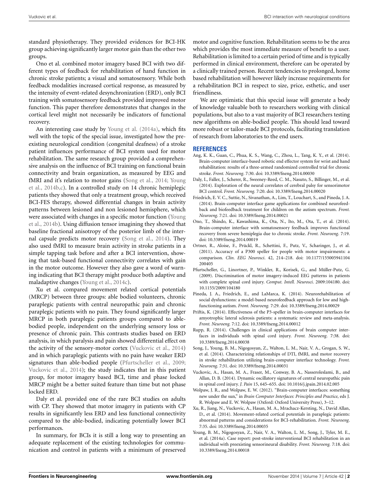standard physiotherapy. They provided evidences for BCI-HK group achieving significantly larger motor gain than the other two groups.

Ono et al. combined motor imagery based BCI with two different types of feedback for rehabilitation of hand function in chronic stroke patients; a visual and somatosensory. While both feedback modalities increased cortical response, as measured by the intensity of event-related desynchronization (ERD), only BCI training with somatosensory feedback provided improved motor function. This paper therefore demonstrates that changes in the cortical level might not necessarily be indicators of functional recovery.

An interesting case study by [Young et al.](#page-2-10) [\(2014a\)](#page-2-10), which fits well with the topic of the special issue, investigated how the preexisting neurological condition (congenital deafness) of a stroke patient influences performance of BCI system used for motor rehabilitation. The same research group provided a comprehensive analysis on the influence of BCI training on functional brain connectivity and brain organization, as measured by EEG and fMR[I and it's relation to motor gains](#page-3-0) [\(Song et al.](#page-2-8)[,](#page-3-0) [2014](#page-2-8)[;](#page-3-0) Young et al., [2014b](#page-3-0)[,c\)](#page-3-1). In a controlled study on 14 chronic hemiplegic patients they showed that only a treatment group, which received BCI-FES therapy, showed differential changes in brain activity patterns between lesioned and non lesioned hemisphere, which were [associated with changes in a specific motor function \(](#page-3-0)Young et al., [2014b](#page-3-0)). Using diffusion tensor imagining they showed that baseline fractional anisotropy of the posterior limb of the internal capsule predicts motor recovery [\(Song et al.](#page-2-8), [2014\)](#page-2-8). They also used fMRI to measure brain activity in stroke patients in a simple tapping task before and after a BCI intervention, showing that task-based functional connectivity correlates with gain in the motor outcome. However they also gave a word of warning indicating that BCI therapy might produce both adaptive and maladaptive changes [\(Young et al., 2014c](#page-3-1)).

Xu et al. compared movement related cortical potentials (MRCP) between three groups: able bodied volunteers, chronic paraplegic patients with central neuropathic pain and chronic paraplegic patients with no pain. They found significantly larger MRCP in both paraplegic patients groups compared to ablebodied people, independent on the underlying sensory loss or presence of chronic pain. This contrasts studies based on ERD analysis, in which paralysis and pain showed differential effect on the activity of the sensory-motor cortex [\(Vuckovic et al., 2014](#page-2-12)) and in which paraplegic patients with no pain have weaker ERD signatures than able-bodied people [\(Pfurtscheller et al., 2009;](#page-2-13) [Vuckovic et al., 2014](#page-2-12)); the study indicates that in this patient group, for motor imagery based BCI, time and phase locked MRCP might be a better suited feature than time but not phase locked ERD.

Daly et al. provided one of the rare BCI studies on adults with CP. They showed that motor imagery in patients with CP results in significantly less ERD and less functional connectivity compared to the able-bodied, indicating potentially lower BCI performances.

In summary, for BCIs it is still a long way to presenting an adequate replacement of the existing technologies for communication and control in patients with a minimum of preserved motor and cognitive function. Rehabilitation seems to be the area which provides the most immediate measure of benefit to a user. Rehabilitation is limited to a certain period of time and is typically performed in clinical environment, therefore can be operated by a clinically trained person. Recent tendencies to prolonged, home based rehabilitation will however likely increase requirements for a rehabilitation BCI in respect to size, price, esthetic, and user friendliness.

We are optimistic that this special issue will generate a body of knowledge valuable both to researchers working with clinical populations, but also to a vast majority of BCI researchers testing new algorithms on able-bodied people. This should lead toward more robust or tailor-made BCI protocols, facilitating translation of research from laboratories to the end users.

## **REFERENCES**

- <span id="page-2-5"></span>Ang, K. K., Guan, C., Phua, K. S., Wang, C., Zhou, L., Tang, K. Y., et al. (2014). Brain-computer interface-based robotic end effector system for wrist and hand rehabilitation: results of a three-armed randomized controlled trial for chronic stroke. *Front. Neuroeng*. 7:30. doi: 10.3389/fneng.2014.00030
- <span id="page-2-6"></span>Daly, I., Faller, J., Scherer, R., Sweeney-Reed, C. M., Nasuto, S., Billinger, M., et al. (2014). Exploration of the neural correlates of cerebral palsy for sensorimotor BCI control. *Front. Neuroeng.* 7:20. doi: 10.3389/fneng.2014.00020
- <span id="page-2-1"></span>Friedrich, E. V. C., Suttie, N., Sivanathan, A., Lim, T., Louchart, S., and Pineda, J. A. (2014). Brain-computer interface game applications for combined neurofeedback and biofeedback treatment for children on the autism spectrum. *Front. Neuroeng*. 7:21. doi: 10.3389/fneng.2014.00021
- <span id="page-2-7"></span>Ono, T., Shindo, K., Kawashima, K., Ota, N., Ito, M., Ota, T., et al. (2014). Brain-computer interface with somatosensory feedback improves functional recovery from severe hemiplegia due to chronic stroke. *Front. Neuroeng*. 7:19. doi: 10.3389/fneng.2014.00019
- <span id="page-2-11"></span>Ortner, R., Aloise, F., Prückl, R., Schettini, F., Putz, V., Scharinger, J., et al. (2011). Accuracy of a P300 speller for people with motor impairments: a comparison. *Clin. EEG Neurosci*. 42, 214–218. doi: 10.1177/155005941104 200405
- <span id="page-2-13"></span>Pfurtscheller, G., Linortner, P., Winkler, R., Korisek, G., and Müller-Putz, G. (2009). Discrimination of motor imagery-induced EEG patterns in patients with complete spinal cord injury. *Comput. Intell. Neurosci*. 2009:104180. doi: 10.1155/2009/104180
- <span id="page-2-2"></span>Pineda, J. A., Friedrich, E., and LaMarca, K. (2014). Neurorehabilitation of social dysfunctions: a model-based neurofeedback approach for low and highfunctioning autism. *Front. Neuroeng.* 7:29. doi: 10.3389/fneng.2014.00029
- <span id="page-2-3"></span>Priftis, K. (2014). Effectiveness of the P3-speller in brain-computer interfaces for amyotrophic lateral sclerosis patients: a systematic review and meta-analysis. *Front. Neuroeng.* 7:12. doi: 10.3389/fneng.2014.00012
- <span id="page-2-4"></span>Rupp, R. (2014). Challenges in clinical applications of brain computer interfaces in individuals with spinal cord injury. *Front. Neuroeng*. 7:38. doi: 10.3389/fneng.2014.00038
- <span id="page-2-8"></span>Song, J., Young, B. M., Nigogosyan, Z., Walton, L. M., Nair, V. A., Grogan, S. W., et al. (2014). Characterizing relationships of DTI, fMRI, and motor recovery in stroke rehabilitation utilizing brain-computer interface technology. *Front. Neuroeng*. 7:31. doi: 10.3389/fneng.2014.00031
- <span id="page-2-12"></span>Vuckovic, A., Hasan, M. A., Fraser, M., Conway, B. A., Nasseroleslami, B., and Allan, D. B. (2014). Dynamic oscillatory signatures of central neuropathic pain in spinal cord injury. *J. Pain* 15, 645–655. doi: 10.1016/j.jpain.2014.02.005
- <span id="page-2-0"></span>Wolpaw, J. R., and Wolpaw, E. W. (2012). "Brain-computer interfaces: something new under the sun," in *Brain Computer Interfaces: Principles and Practice*, eds J. R. Wolpaw and E. W. Wolpaw (Oxford: Oxford University Press), 3–12.
- <span id="page-2-9"></span>Xu, R., Jiang, N., Vuckovic, A., Hasan, M. A., Mrachacz-Kersting, N., David Allan, D., et al. (2014). Movement-related cortical potentials in paraplegic patients: abnormal patterns and considerations for BCI-rehabilitation. *Front. Neuroeng*. 7:35. doi: 10.3389/fneng.2014.00035
- <span id="page-2-10"></span>Young, B. M., Nigogosyan, Z., Nair, V. A., Walton, L. M., Song, J., Tyler, M. E., et al. (2014a). Case report: post-stroke interventional BCI rehabilitation in an individual with preexisting sensorineural disability. *Front. Neuroeng.* 7:18. doi: 10.3389/fneng.2014.00018